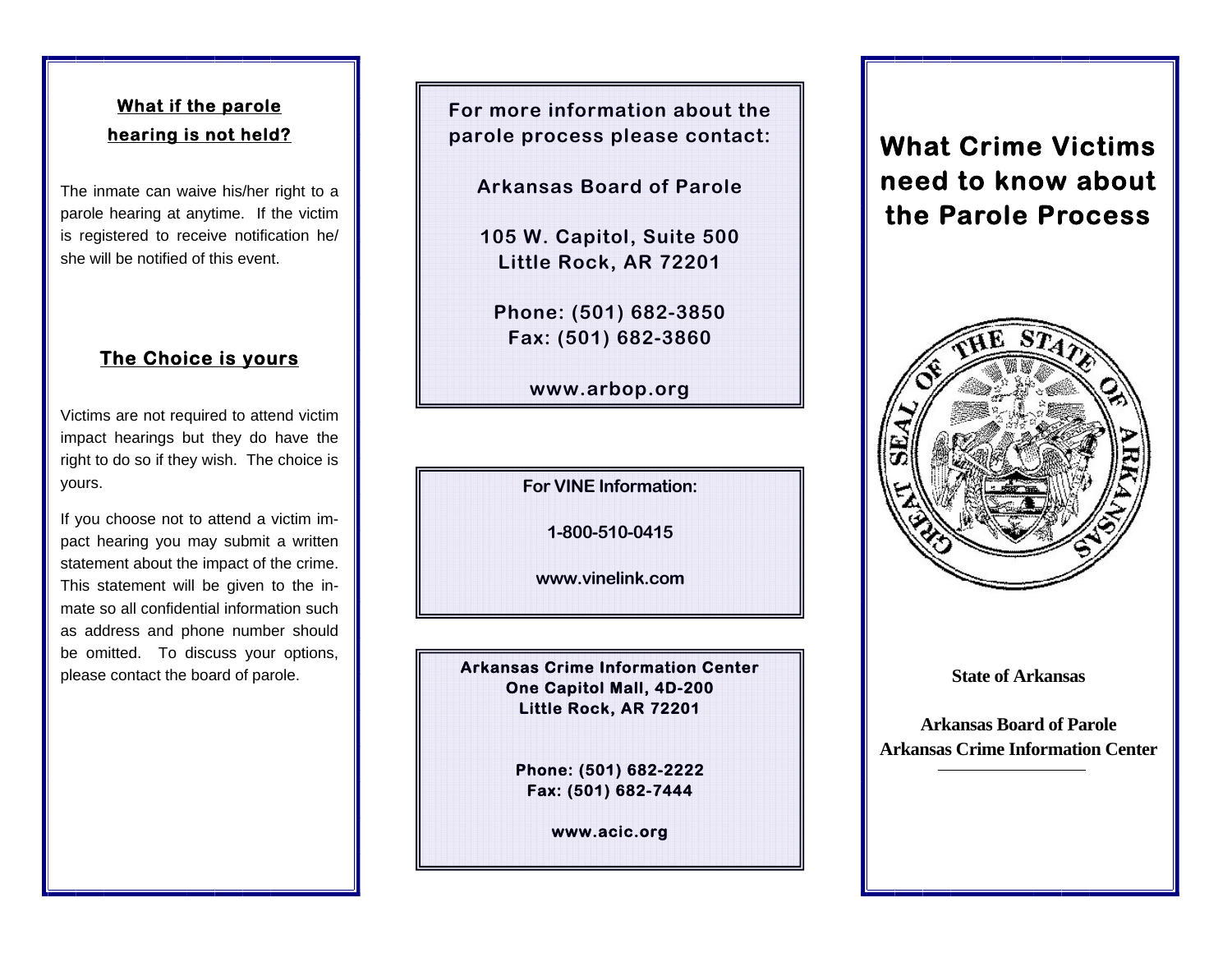## **What if the parole hearing is not held?**

The inmate can waive his/her right to a parole hearing at anytime. If the victim is registered to receive notification he/ she will be notified of this event.

## **The Choice is yours**

Victims are not required to attend victim impact hearings but they do have the right to do so if they wish. The choice is yours.

If you choose not to attend a victim impact hearing you may submit a written statement about the impact of the crime. This statement will be given to the inmate so all confidential information such as address and phone number should be omitted. To discuss your options, please contact the board of parole.

**For more information about the parole process please contact:** 

**Arkansas Board of Parole** 

**105 W. Capitol, Suite 500 Little Rock, AR 72201** 

**Phone: (501) 682-3850 Fax: (501) 682-3860** 

**www.arbop.org** 

**For VINE Information:** 

**1-800-510-0415** 

**www.vinelink.com**

**Arkansas Crime Information Center One Capitol Mall, 4D-200 Little Rock, AR 72201** 

> **Phone: (501) 682-2222 Fax: (501) 682-7444**

> > **www.acic.org**

## **What Crime Victims need to know about the Parole Process**



**State of Arkansas** 

**Arkansas Board of Parole Arkansas Crime Information Center**